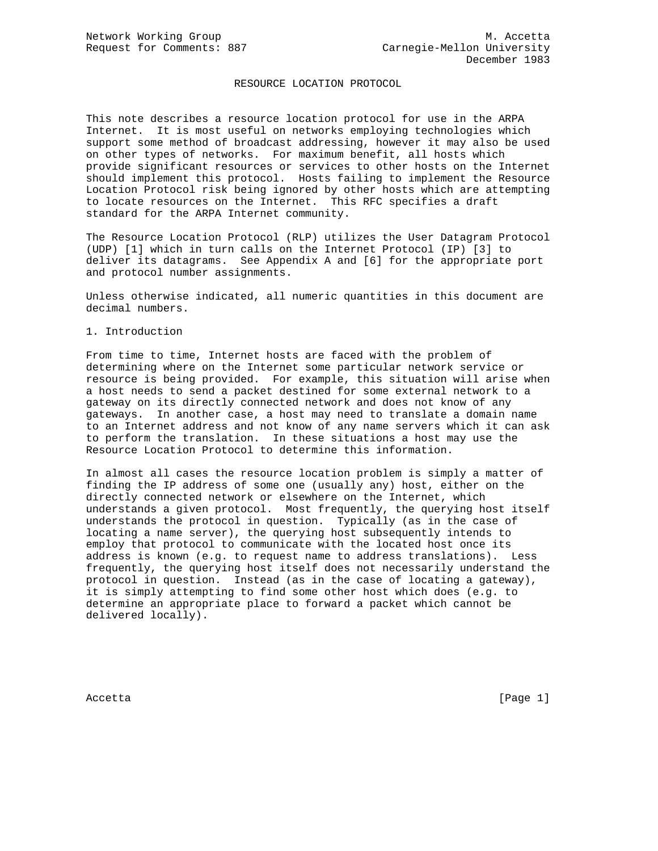## RESOURCE LOCATION PROTOCOL

This note describes a resource location protocol for use in the ARPA Internet. It is most useful on networks employing technologies which support some method of broadcast addressing, however it may also be used on other types of networks. For maximum benefit, all hosts which provide significant resources or services to other hosts on the Internet should implement this protocol. Hosts failing to implement the Resource Location Protocol risk being ignored by other hosts which are attempting to locate resources on the Internet. This RFC specifies a draft standard for the ARPA Internet community.

The Resource Location Protocol (RLP) utilizes the User Datagram Protocol (UDP) [1] which in turn calls on the Internet Protocol (IP) [3] to deliver its datagrams. See Appendix A and [6] for the appropriate port and protocol number assignments.

Unless otherwise indicated, all numeric quantities in this document are decimal numbers.

## 1. Introduction

From time to time, Internet hosts are faced with the problem of determining where on the Internet some particular network service or resource is being provided. For example, this situation will arise when a host needs to send a packet destined for some external network to a gateway on its directly connected network and does not know of any gateways. In another case, a host may need to translate a domain name to an Internet address and not know of any name servers which it can ask to perform the translation. In these situations a host may use the Resource Location Protocol to determine this information.

In almost all cases the resource location problem is simply a matter of finding the IP address of some one (usually any) host, either on the directly connected network or elsewhere on the Internet, which understands a given protocol. Most frequently, the querying host itself understands the protocol in question. Typically (as in the case of locating a name server), the querying host subsequently intends to employ that protocol to communicate with the located host once its address is known (e.g. to request name to address translations). Less frequently, the querying host itself does not necessarily understand the protocol in question. Instead (as in the case of locating a gateway), it is simply attempting to find some other host which does (e.g. to determine an appropriate place to forward a packet which cannot be delivered locally).

Accetta [Page 1]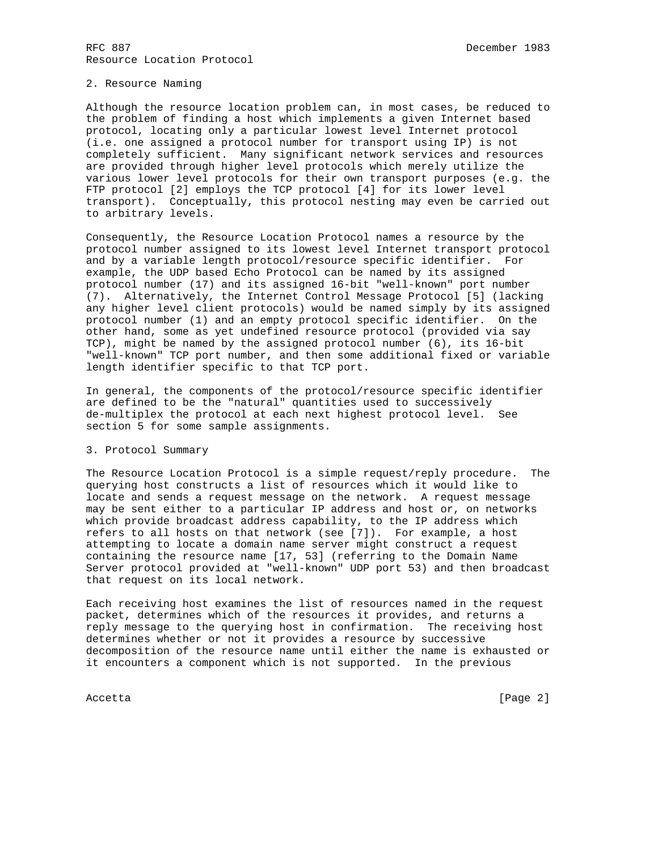## 2. Resource Naming

Although the resource location problem can, in most cases, be reduced to the problem of finding a host which implements a given Internet based protocol, locating only a particular lowest level Internet protocol (i.e. one assigned a protocol number for transport using IP) is not completely sufficient. Many significant network services and resources are provided through higher level protocols which merely utilize the various lower level protocols for their own transport purposes (e.g. the FTP protocol [2] employs the TCP protocol [4] for its lower level transport). Conceptually, this protocol nesting may even be carried out to arbitrary levels.

Consequently, the Resource Location Protocol names a resource by the protocol number assigned to its lowest level Internet transport protocol and by a variable length protocol/resource specific identifier. For example, the UDP based Echo Protocol can be named by its assigned protocol number (17) and its assigned 16-bit "well-known" port number (7). Alternatively, the Internet Control Message Protocol [5] (lacking any higher level client protocols) would be named simply by its assigned protocol number (1) and an empty protocol specific identifier. On the other hand, some as yet undefined resource protocol (provided via say TCP), might be named by the assigned protocol number (6), its 16-bit "well-known" TCP port number, and then some additional fixed or variable length identifier specific to that TCP port.

In general, the components of the protocol/resource specific identifier are defined to be the "natural" quantities used to successively de-multiplex the protocol at each next highest protocol level. See section 5 for some sample assignments.

### 3. Protocol Summary

The Resource Location Protocol is a simple request/reply procedure. The querying host constructs a list of resources which it would like to locate and sends a request message on the network. A request message may be sent either to a particular IP address and host or, on networks which provide broadcast address capability, to the IP address which refers to all hosts on that network (see [7]). For example, a host attempting to locate a domain name server might construct a request containing the resource name [17, 53] (referring to the Domain Name Server protocol provided at "well-known" UDP port 53) and then broadcast that request on its local network.

Each receiving host examines the list of resources named in the request packet, determines which of the resources it provides, and returns a reply message to the querying host in confirmation. The receiving host determines whether or not it provides a resource by successive decomposition of the resource name until either the name is exhausted or it encounters a component which is not supported. In the previous

Accetta [Page 2]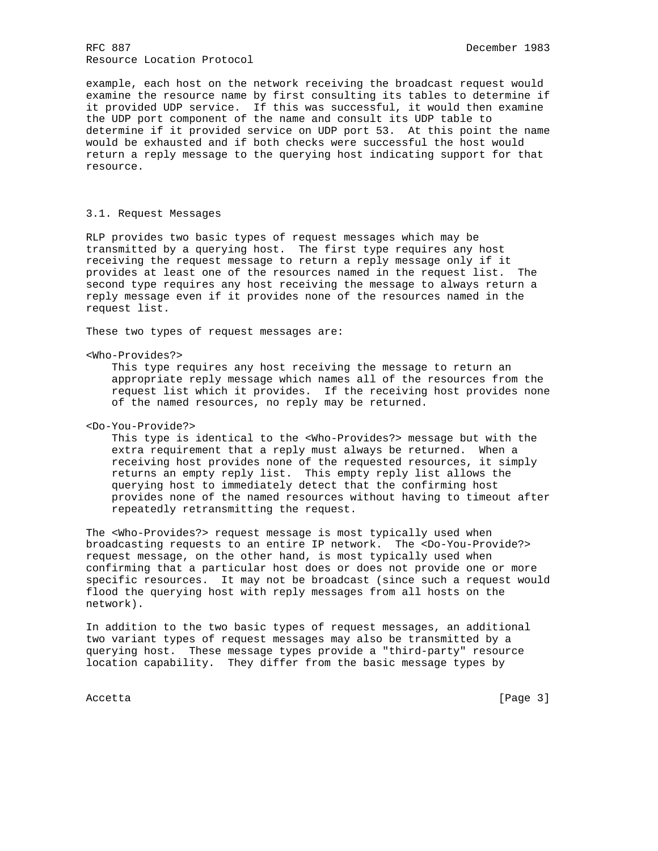example, each host on the network receiving the broadcast request would examine the resource name by first consulting its tables to determine if it provided UDP service. If this was successful, it would then examine the UDP port component of the name and consult its UDP table to determine if it provided service on UDP port 53. At this point the name would be exhausted and if both checks were successful the host would return a reply message to the querying host indicating support for that resource.

## 3.1. Request Messages

RLP provides two basic types of request messages which may be transmitted by a querying host. The first type requires any host receiving the request message to return a reply message only if it provides at least one of the resources named in the request list. The second type requires any host receiving the message to always return a reply message even if it provides none of the resources named in the request list.

These two types of request messages are:

<Who-Provides?>

 This type requires any host receiving the message to return an appropriate reply message which names all of the resources from the request list which it provides. If the receiving host provides none of the named resources, no reply may be returned.

<Do-You-Provide?>

 This type is identical to the <Who-Provides?> message but with the extra requirement that a reply must always be returned. When a receiving host provides none of the requested resources, it simply returns an empty reply list. This empty reply list allows the querying host to immediately detect that the confirming host provides none of the named resources without having to timeout after repeatedly retransmitting the request.

The <Who-Provides?> request message is most typically used when broadcasting requests to an entire IP network. The <Do-You-Provide?> request message, on the other hand, is most typically used when confirming that a particular host does or does not provide one or more specific resources. It may not be broadcast (since such a request would flood the querying host with reply messages from all hosts on the network).

In addition to the two basic types of request messages, an additional two variant types of request messages may also be transmitted by a querying host. These message types provide a "third-party" resource location capability. They differ from the basic message types by

Accetta [Page 3]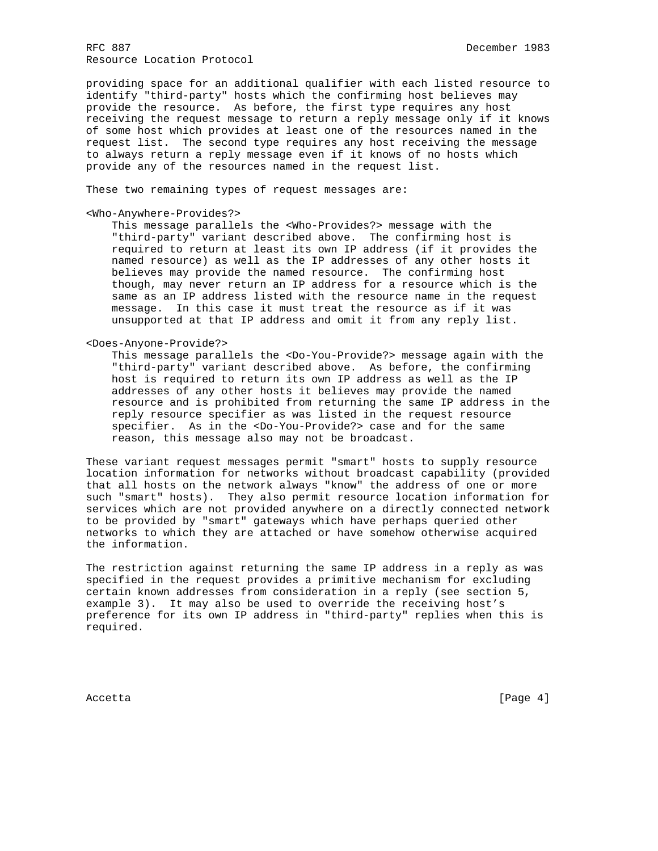providing space for an additional qualifier with each listed resource to identify "third-party" hosts which the confirming host believes may provide the resource. As before, the first type requires any host receiving the request message to return a reply message only if it knows of some host which provides at least one of the resources named in the request list. The second type requires any host receiving the message to always return a reply message even if it knows of no hosts which provide any of the resources named in the request list.

These two remaining types of request messages are:

## <Who-Anywhere-Provides?>

 This message parallels the <Who-Provides?> message with the "third-party" variant described above. The confirming host is required to return at least its own IP address (if it provides the named resource) as well as the IP addresses of any other hosts it believes may provide the named resource. The confirming host though, may never return an IP address for a resource which is the same as an IP address listed with the resource name in the request message. In this case it must treat the resource as if it was unsupported at that IP address and omit it from any reply list.

<Does-Anyone-Provide?>

 This message parallels the <Do-You-Provide?> message again with the "third-party" variant described above. As before, the confirming host is required to return its own IP address as well as the IP addresses of any other hosts it believes may provide the named resource and is prohibited from returning the same IP address in the reply resource specifier as was listed in the request resource specifier. As in the <Do-You-Provide?> case and for the same reason, this message also may not be broadcast.

These variant request messages permit "smart" hosts to supply resource location information for networks without broadcast capability (provided that all hosts on the network always "know" the address of one or more such "smart" hosts). They also permit resource location information for services which are not provided anywhere on a directly connected network to be provided by "smart" gateways which have perhaps queried other networks to which they are attached or have somehow otherwise acquired the information.

The restriction against returning the same IP address in a reply as was specified in the request provides a primitive mechanism for excluding certain known addresses from consideration in a reply (see section 5, example 3). It may also be used to override the receiving host's preference for its own IP address in "third-party" replies when this is required.

Accetta [Page 4]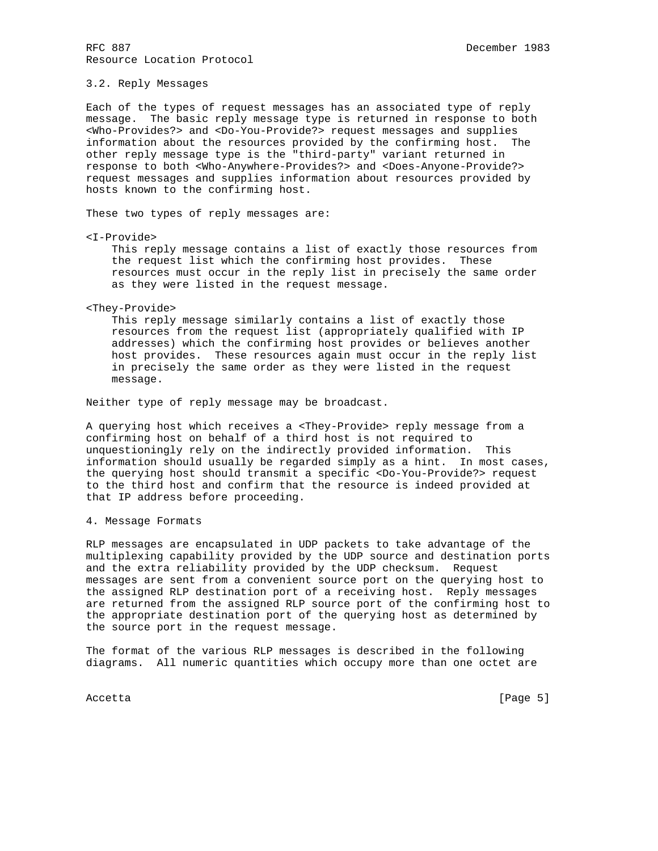### 3.2. Reply Messages

Each of the types of request messages has an associated type of reply message. The basic reply message type is returned in response to both <Who-Provides?> and <Do-You-Provide?> request messages and supplies information about the resources provided by the confirming host. The other reply message type is the "third-party" variant returned in response to both <Who-Anywhere-Provides?> and <Does-Anyone-Provide?> request messages and supplies information about resources provided by hosts known to the confirming host.

These two types of reply messages are:

<I-Provide>

 This reply message contains a list of exactly those resources from the request list which the confirming host provides. These resources must occur in the reply list in precisely the same order as they were listed in the request message.

#### <They-Provide>

 This reply message similarly contains a list of exactly those resources from the request list (appropriately qualified with IP addresses) which the confirming host provides or believes another host provides. These resources again must occur in the reply list in precisely the same order as they were listed in the request message.

Neither type of reply message may be broadcast.

A querying host which receives a <They-Provide> reply message from a confirming host on behalf of a third host is not required to unquestioningly rely on the indirectly provided information. This information should usually be regarded simply as a hint. In most cases, the querying host should transmit a specific <Do-You-Provide?> request to the third host and confirm that the resource is indeed provided at that IP address before proceeding.

### 4. Message Formats

RLP messages are encapsulated in UDP packets to take advantage of the multiplexing capability provided by the UDP source and destination ports and the extra reliability provided by the UDP checksum. Request messages are sent from a convenient source port on the querying host to the assigned RLP destination port of a receiving host. Reply messages are returned from the assigned RLP source port of the confirming host to the appropriate destination port of the querying host as determined by the source port in the request message.

The format of the various RLP messages is described in the following diagrams. All numeric quantities which occupy more than one octet are

Accetta [Page 5]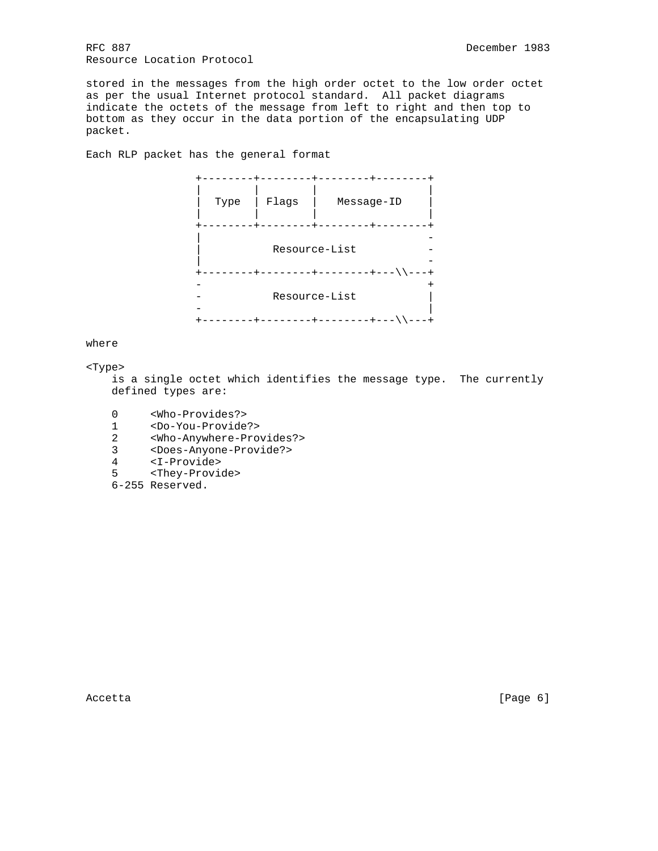stored in the messages from the high order octet to the low order octet as per the usual Internet protocol standard. All packet diagrams indicate the octets of the message from left to right and then top to bottom as they occur in the data portion of the encapsulating UDP packet.

Each RLP packet has the general format



where

<Type>

 is a single octet which identifies the message type. The currently defined types are:

- 0 <Who-Provides?>
- 1 <Do-You-Provide?>
- 2 <Who-Anywhere-Provides?>
- 3 <Does-Anyone-Provide?>
- 4 <I-Provide>
- 5 <They-Provide>
	- 6-255 Reserved.

Accetta [Page 6]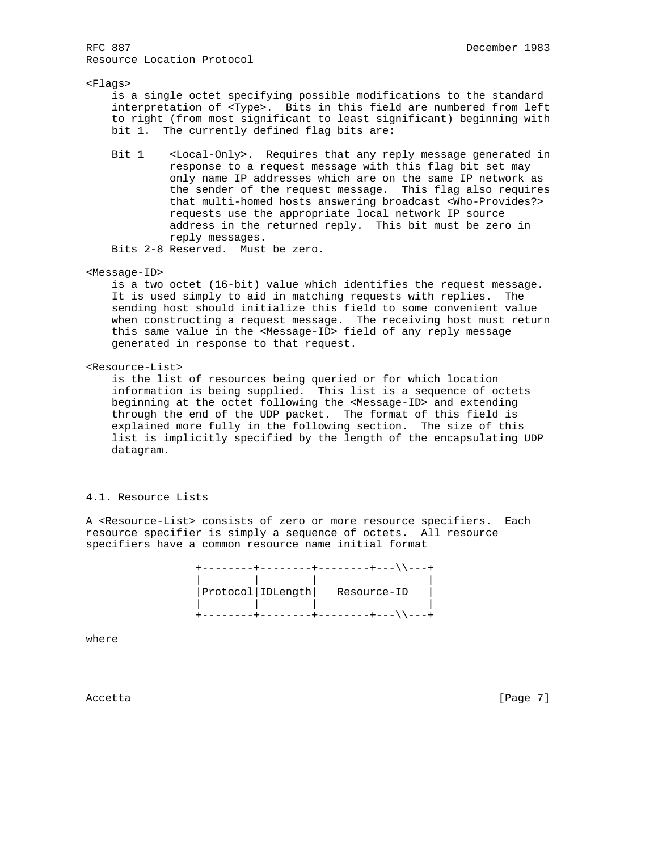## <Flags>

 is a single octet specifying possible modifications to the standard interpretation of <Type>. Bits in this field are numbered from left to right (from most significant to least significant) beginning with bit 1. The currently defined flag bits are:

 Bit 1 <Local-Only>. Requires that any reply message generated in response to a request message with this flag bit set may only name IP addresses which are on the same IP network as the sender of the request message. This flag also requires that multi-homed hosts answering broadcast <Who-Provides?> requests use the appropriate local network IP source address in the returned reply. This bit must be zero in reply messages.

Bits 2-8 Reserved. Must be zero.

### <Message-ID>

 is a two octet (16-bit) value which identifies the request message. It is used simply to aid in matching requests with replies. The sending host should initialize this field to some convenient value when constructing a request message. The receiving host must return this same value in the <Message-ID> field of any reply message generated in response to that request.

## <Resource-List>

 is the list of resources being queried or for which location information is being supplied. This list is a sequence of octets beginning at the octet following the <Message-ID> and extending through the end of the UDP packet. The format of this field is explained more fully in the following section. The size of this list is implicitly specified by the length of the encapsulating UDP datagram.

## 4.1. Resource Lists

A <Resource-List> consists of zero or more resource specifiers. Each resource specifier is simply a sequence of octets. All resource specifiers have a common resource name initial format

|  |                     | $= +$       |  |
|--|---------------------|-------------|--|
|  | Protocol   IDLength | Resource-ID |  |
|  |                     |             |  |

where

Accetta [Page 7]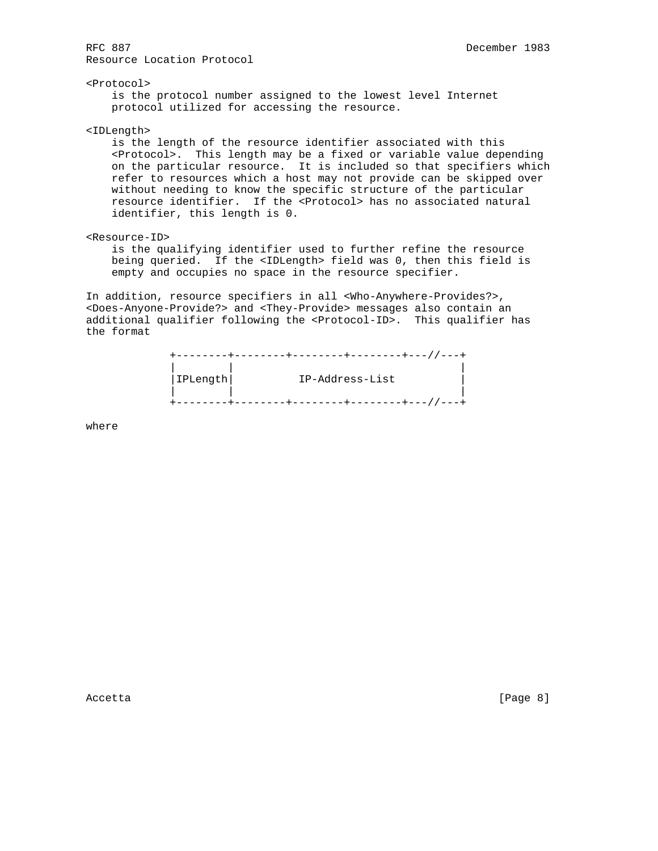<Protocol> is the protocol number assigned to the lowest level Internet protocol utilized for accessing the resource.

<IDLength>

 is the length of the resource identifier associated with this <Protocol>. This length may be a fixed or variable value depending on the particular resource. It is included so that specifiers which refer to resources which a host may not provide can be skipped over without needing to know the specific structure of the particular resource identifier. If the <Protocol> has no associated natural identifier, this length is 0.

<Resource-ID>

 is the qualifying identifier used to further refine the resource being queried. If the <IDLength> field was 0, then this field is empty and occupies no space in the resource specifier.

In addition, resource specifiers in all <Who-Anywhere-Provides?>, <Does-Anyone-Provide?> and <They-Provide> messages also contain an additional qualifier following the <Protocol-ID>. This qualifier has the format

|          | $11 - - +$<br>-----+--- / |
|----------|---------------------------|
| IPLength | IP-Address-List           |
|          |                           |
|          |                           |

where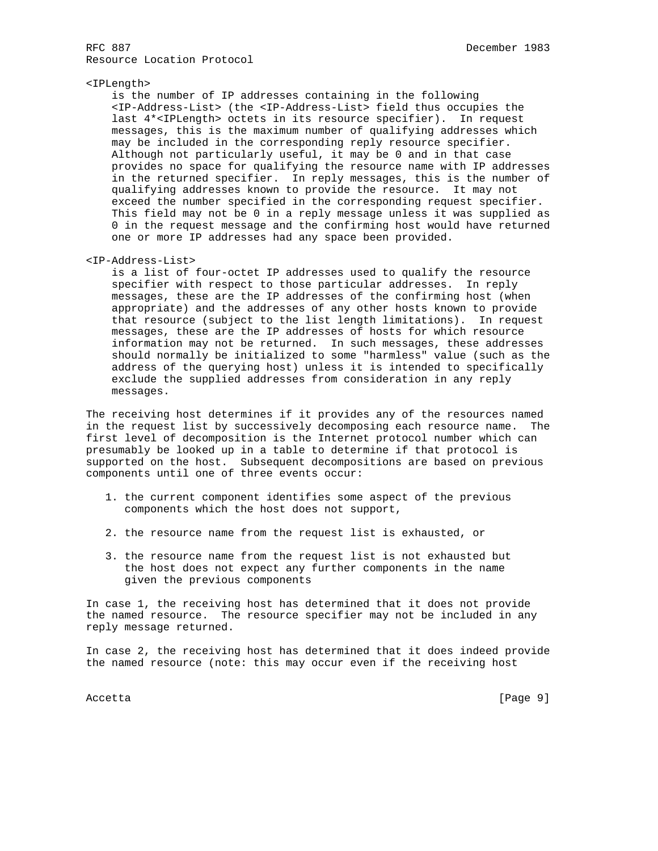## <IPLength>

 is the number of IP addresses containing in the following <IP-Address-List> (the <IP-Address-List> field thus occupies the last 4\*<IPLength> octets in its resource specifier). In request messages, this is the maximum number of qualifying addresses which may be included in the corresponding reply resource specifier. Although not particularly useful, it may be 0 and in that case provides no space for qualifying the resource name with IP addresses in the returned specifier. In reply messages, this is the number of qualifying addresses known to provide the resource. It may not exceed the number specified in the corresponding request specifier. This field may not be 0 in a reply message unless it was supplied as 0 in the request message and the confirming host would have returned one or more IP addresses had any space been provided.

## <IP-Address-List>

 is a list of four-octet IP addresses used to qualify the resource specifier with respect to those particular addresses. In reply messages, these are the IP addresses of the confirming host (when appropriate) and the addresses of any other hosts known to provide that resource (subject to the list length limitations). In request messages, these are the IP addresses of hosts for which resource information may not be returned. In such messages, these addresses should normally be initialized to some "harmless" value (such as the address of the querying host) unless it is intended to specifically exclude the supplied addresses from consideration in any reply messages.

The receiving host determines if it provides any of the resources named in the request list by successively decomposing each resource name. The first level of decomposition is the Internet protocol number which can presumably be looked up in a table to determine if that protocol is supported on the host. Subsequent decompositions are based on previous components until one of three events occur:

- 1. the current component identifies some aspect of the previous components which the host does not support,
- 2. the resource name from the request list is exhausted, or
- 3. the resource name from the request list is not exhausted but the host does not expect any further components in the name given the previous components

In case 1, the receiving host has determined that it does not provide the named resource. The resource specifier may not be included in any reply message returned.

In case 2, the receiving host has determined that it does indeed provide the named resource (note: this may occur even if the receiving host

Accetta [Page 9]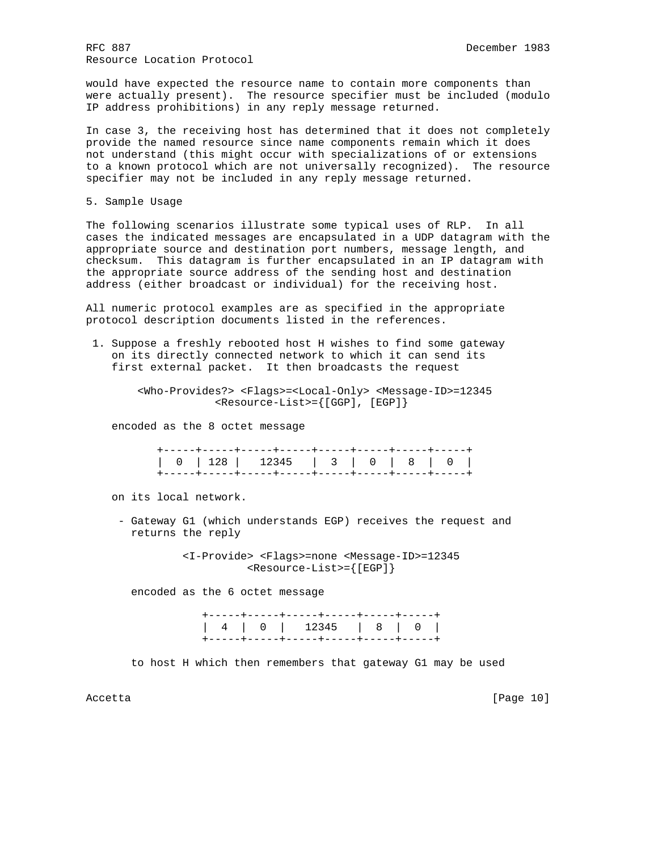would have expected the resource name to contain more components than were actually present). The resource specifier must be included (modulo IP address prohibitions) in any reply message returned.

In case 3, the receiving host has determined that it does not completely provide the named resource since name components remain which it does not understand (this might occur with specializations of or extensions to a known protocol which are not universally recognized). The resource specifier may not be included in any reply message returned.

5. Sample Usage

The following scenarios illustrate some typical uses of RLP. In all cases the indicated messages are encapsulated in a UDP datagram with the appropriate source and destination port numbers, message length, and checksum. This datagram is further encapsulated in an IP datagram with the appropriate source address of the sending host and destination address (either broadcast or individual) for the receiving host.

All numeric protocol examples are as specified in the appropriate protocol description documents listed in the references.

 1. Suppose a freshly rebooted host H wishes to find some gateway on its directly connected network to which it can send its first external packet. It then broadcasts the request

> <Who-Provides?> <Flags>=<Local-Only> <Message-ID>=12345 <Resource-List>={[GGP], [EGP]}

encoded as the 8 octet message

on its local network.

 - Gateway G1 (which understands EGP) receives the request and returns the reply

> <I-Provide> <Flags>=none <Message-ID>=12345 <Resource-List>={[EGP]}

encoded as the 6 octet message

|  |  | +-----+----+-----+----+----+----+----+   |  |  |
|--|--|------------------------------------------|--|--|
|  |  |                                          |  |  |
|  |  | -+-----+-----+-----+-----+-----+----+--- |  |  |

to host H which then remembers that gateway G1 may be used

Accetta [Page 10]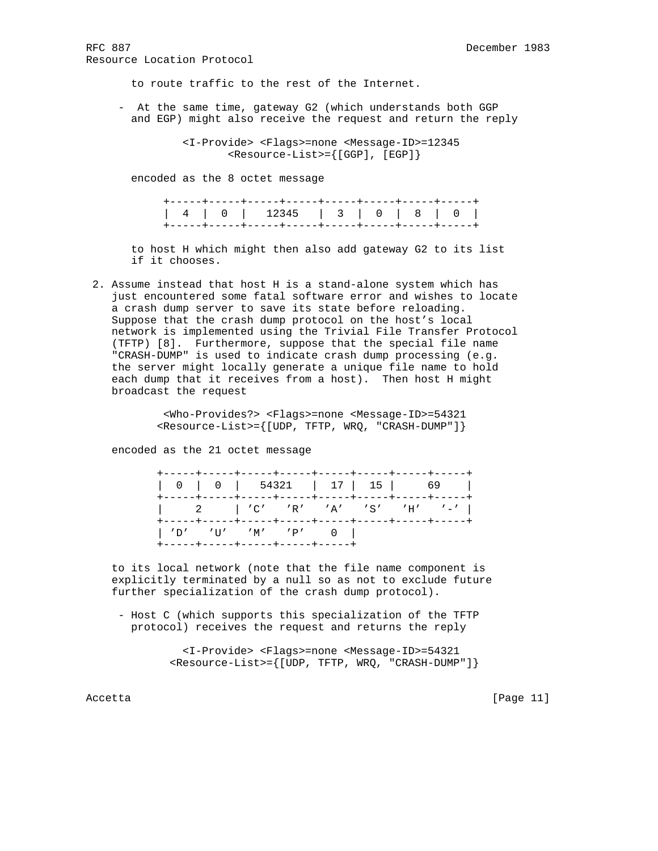to route traffic to the rest of the Internet.

 - At the same time, gateway G2 (which understands both GGP and EGP) might also receive the request and return the reply

> <I-Provide> <Flags>=none <Message-ID>=12345 <Resource-List>={[GGP], [EGP]}

encoded as the 8 octet message

 to host H which might then also add gateway G2 to its list if it chooses.

 2. Assume instead that host H is a stand-alone system which has just encountered some fatal software error and wishes to locate a crash dump server to save its state before reloading. Suppose that the crash dump protocol on the host's local network is implemented using the Trivial File Transfer Protocol (TFTP) [8]. Furthermore, suppose that the special file name "CRASH-DUMP" is used to indicate crash dump processing (e.g. the server might locally generate a unique file name to hold each dump that it receives from a host). Then host H might broadcast the request

> <Who-Provides?> <Flags>=none <Message-ID>=54321 <Resource-List>={[UDP, TFTP, WRQ, "CRASH-DUMP"]}

encoded as the 21 octet message

| $\begin{vmatrix} 2 &   & 'C' & 'R' & 'A' & 'S' & 'H' & '-' \end{vmatrix}$ |  |  |  |  |
|---------------------------------------------------------------------------|--|--|--|--|
| $  'D'$ 'U' 'M' 'P' 0 $ $<br>+-----+----+-----+-----+----+                |  |  |  |  |

 to its local network (note that the file name component is explicitly terminated by a null so as not to exclude future further specialization of the crash dump protocol).

 - Host C (which supports this specialization of the TFTP protocol) receives the request and returns the reply

> <I-Provide> <Flags>=none <Message-ID>=54321 <Resource-List>={[UDP, TFTP, WRQ, "CRASH-DUMP"]}

Accetta [Page 11]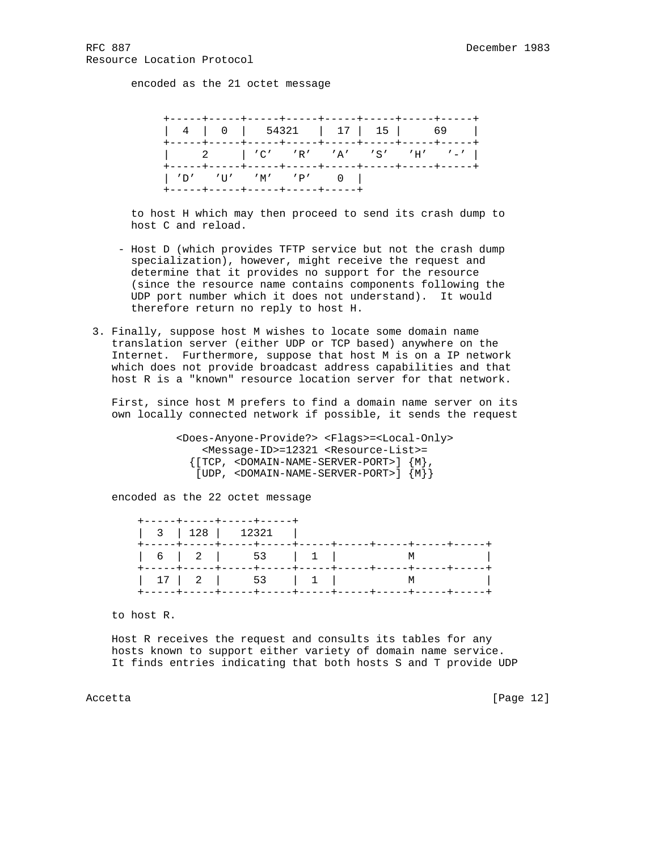encoded as the 21 octet message



 to host H which may then proceed to send its crash dump to host C and reload.

- Host D (which provides TFTP service but not the crash dump specialization), however, might receive the request and determine that it provides no support for the resource (since the resource name contains components following the UDP port number which it does not understand). It would therefore return no reply to host H.
- 3. Finally, suppose host M wishes to locate some domain name translation server (either UDP or TCP based) anywhere on the Internet. Furthermore, suppose that host M is on a IP network which does not provide broadcast address capabilities and that host R is a "known" resource location server for that network.

 First, since host M prefers to find a domain name server on its own locally connected network if possible, it sends the request

> <Does-Anyone-Provide?> <Flags>=<Local-Only> <Message-ID>=12321 <Resource-List>=  ${[\text{TCP}, <$  DOMAIN-NAME-SERVER-PORT>]  ${M},$ [UDP, <DOMAIN-NAME-SERVER-PORT>] {M}}

encoded as the 22 octet message

| +-----+-----+-----+-----+ |  |  |
|---------------------------|--|--|
|                           |  |  |
|                           |  |  |

to host R.

 Host R receives the request and consults its tables for any hosts known to support either variety of domain name service. It finds entries indicating that both hosts S and T provide UDP

Accetta [Page 12]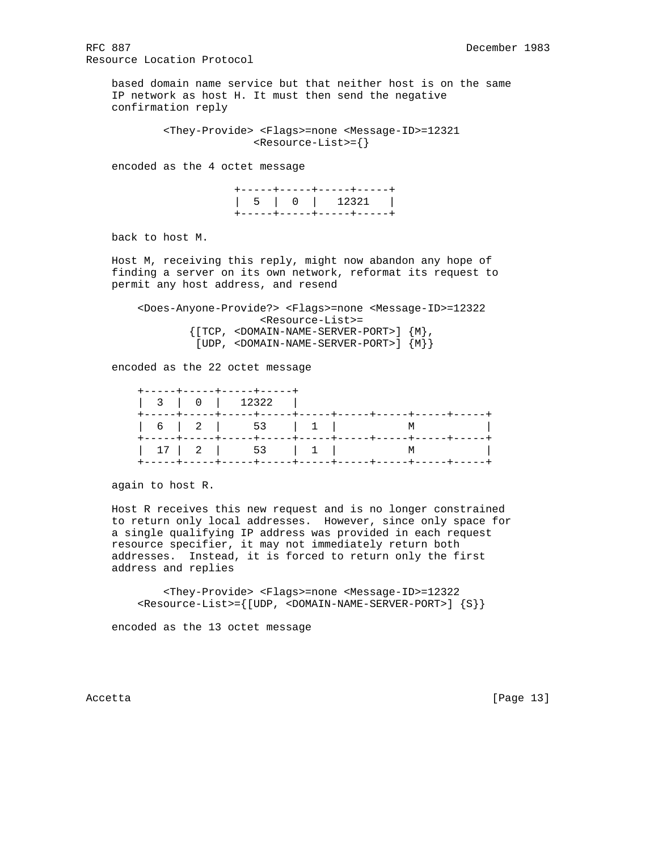based domain name service but that neither host is on the same IP network as host H. It must then send the negative confirmation reply

> <They-Provide> <Flags>=none <Message-ID>=12321 <Resource-List>={}

encoded as the 4 octet message

 +-----+-----+-----+-----+ | 5 | 0 | 12321 | +-----+-----+-----+-----+

back to host M.

 Host M, receiving this reply, might now abandon any hope of finding a server on its own network, reformat its request to permit any host address, and resend

 <Does-Anyone-Provide?> <Flags>=none <Message-ID>=12322 <Resource-List>= {[TCP, <DOMAIN-NAME-SERVER-PORT>] {M}, [UDP, <DOMAIN-NAME-SERVER-PORT>] {M}}

encoded as the 22 octet message

| +-----+-----+-----+----+<br>$\begin{array}{ c c c c c c c c c } \hline 3 & 0 & 12322 \ \hline \end{array}$ |  |  |
|------------------------------------------------------------------------------------------------------------|--|--|
|                                                                                                            |  |  |
|                                                                                                            |  |  |

again to host R.

 Host R receives this new request and is no longer constrained to return only local addresses. However, since only space for a single qualifying IP address was provided in each request resource specifier, it may not immediately return both addresses. Instead, it is forced to return only the first address and replies

 <They-Provide> <Flags>=none <Message-ID>=12322 <Resource-List>={[UDP, <DOMAIN-NAME-SERVER-PORT>] {S}}

encoded as the 13 octet message

Accetta [Page 13]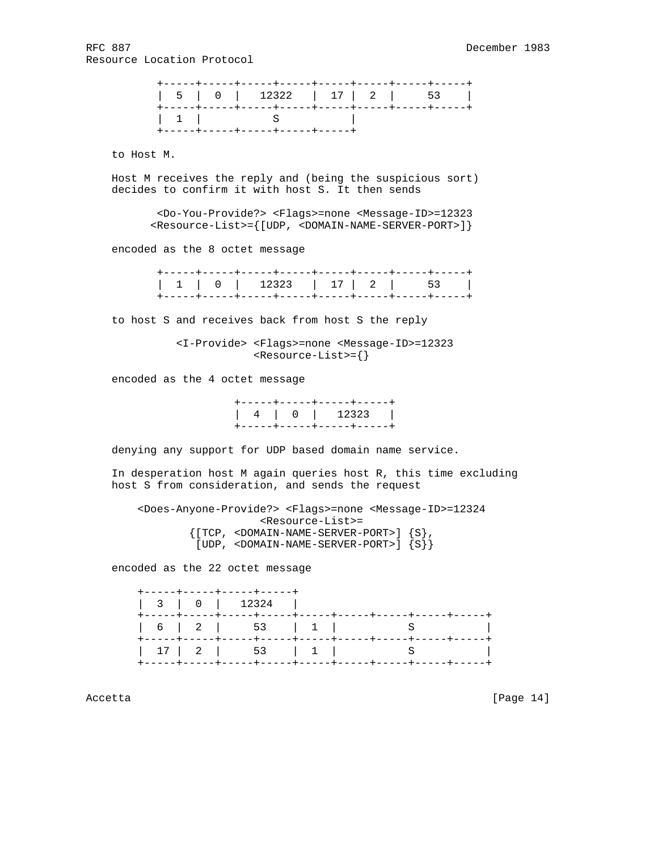to Host M.

 Host M receives the reply and (being the suspicious sort) decides to confirm it with host S. It then sends

> <Do-You-Provide?> <Flags>=none <Message-ID>=12323 <Resource-List>={[UDP, <DOMAIN-NAME-SERVER-PORT>]}

encoded as the 8 octet message

to host S and receives back from host S the reply

 <I-Provide> <Flags>=none <Message-ID>=12323 <Resource-List>={}

encoded as the 4 octet message

|  |  | +-----+-----+----+-----+-                                                      |
|--|--|--------------------------------------------------------------------------------|
|  |  | $\begin{array}{ c c c c c c c c } \hline & 4 & 0 & 12323 \ \hline \end{array}$ |
|  |  | +-----+-----+----+-----+                                                       |

denying any support for UDP based domain name service.

 In desperation host M again queries host R, this time excluding host S from consideration, and sends the request

 <Does-Anyone-Provide?> <Flags>=none <Message-ID>=12324 <Resource-List>= {[TCP, <DOMAIN-NAME-SERVER-PORT>] {S}, [UDP, <DOMAIN-NAME-SERVER-PORT>] {S}}

encoded as the 22 octet message

|  | +-----+-----+-----+-----+ |  |  |
|--|---------------------------|--|--|
|  |                           |  |  |
|  |                           |  |  |

Accetta [Page 14]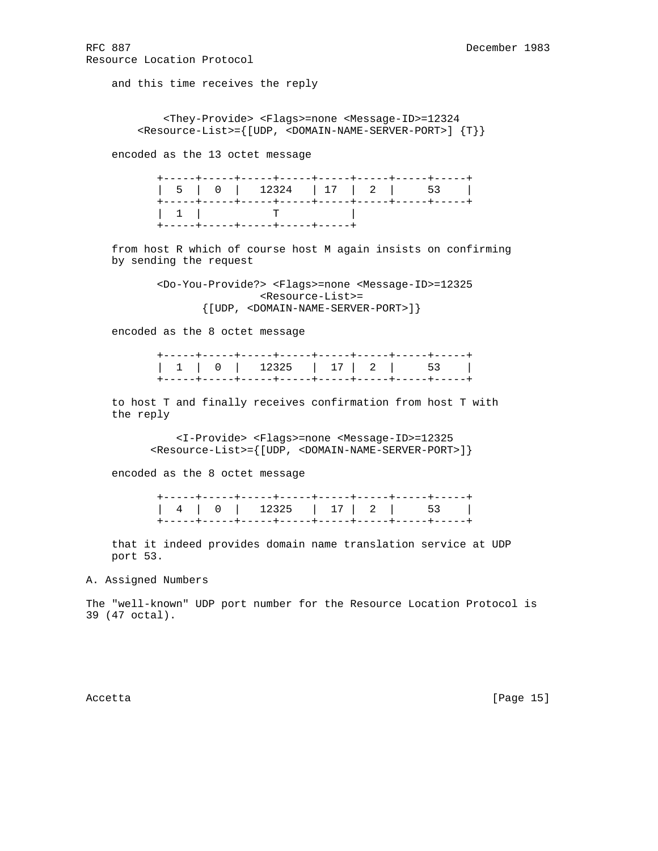and this time receives the reply

 <They-Provide> <Flags>=none <Message-ID>=12324 <Resource-List>={[UDP, <DOMAIN-NAME-SERVER-PORT>] {T}}

encoded as the 13 octet message

|  |  | +-----+-----+-----+-----+-----+ |  |  |
|--|--|---------------------------------|--|--|

 from host R which of course host M again insists on confirming by sending the request

> <Do-You-Provide?> <Flags>=none <Message-ID>=12325 <Resource-List>= {[UDP, <DOMAIN-NAME-SERVER-PORT>]}

encoded as the 8 octet message

 to host T and finally receives confirmation from host T with the reply

> <I-Provide> <Flags>=none <Message-ID>=12325 <Resource-List>={[UDP, <DOMAIN-NAME-SERVER-PORT>]}

encoded as the 8 octet message

 that it indeed provides domain name translation service at UDP port 53.

A. Assigned Numbers

The "well-known" UDP port number for the Resource Location Protocol is 39 (47 octal).

Accetta [Page 15]